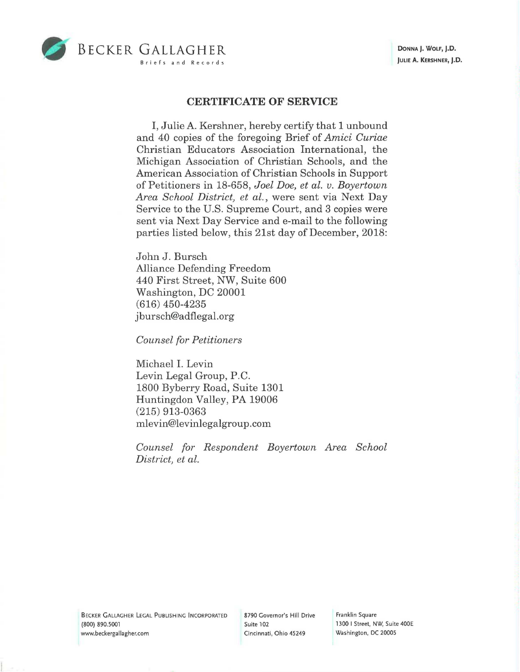

## **CERTIFICATE OF SERVICE**

I, Julie A. Kershner, hereby certify that 1 unbound and 40 copies of the foregoing Brief of *Amici Curiae*  Christian Educators Association International, the Michigan Association of Christian Schools, and the American Association of Christian Schools in Support of Petitioners in 18-658, *Joel Doe, et al. v. Boyertown Area School District, et al.,* were sent via Next Day Service to the U.S. Supreme Court, and 3 copies were sent via Next Day Service and e-mail to the following parties listed below, this 21st day of December, 2018:

John J. Bursch Alliance Defending Freedom 440 First Street, NW, Suite 600 Washington, DC 20001 (616) 450-4235 jbursch@adflegal.org

*Counsel for Petitioners* 

Michael I. Levin Levin Legal Group, P.C. 1800 Byberry Road, Suite 1301 Huntingdon Valley, PA 19006 (215) 913-0363 mlevin@levinlegalgroup.com

*Counsel for Respondent Boyertown Area School District, et al.* 

BECKER GALLAGHER LEGAL PUBLISHING INCORPORATED (800) 890.5001 www.beckergallagher.com

8790 Governor's Hill Drive Suite 102 Cincinnati, Ohio 45249

Franklin Square 1300 I Street, NW, Suite 400E Washington, DC 20005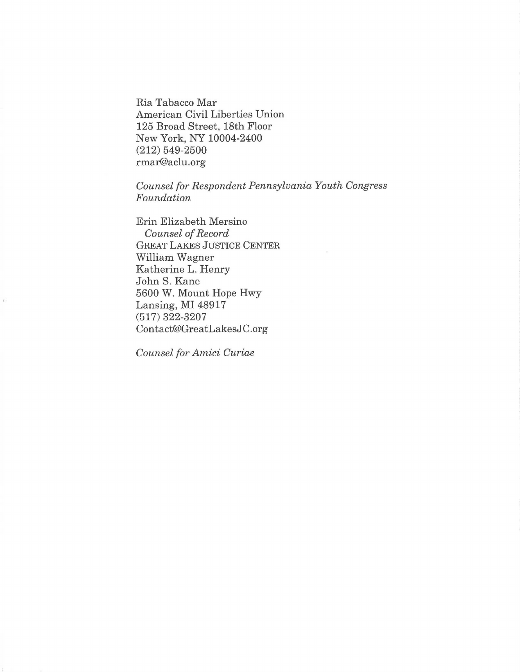Ria Tabacco Mar American Civil Liberties Union 125 Broad Street, 18th Floor New York, NY 10004-2400 (212) 549-2500 rmar@aclu.org

*Counsel for Respondent Pennsylvania Youth Congress Foundation* 

Erin Elizabeth Mersino *Counsel of Record*  GREAT LAKES JUSTICE CENTER William Wagner Katherine L. Henry John S. Kane 5600 W. Mount Hope Hwy Lansing, MI 48917 (517) 322-3207 Contact@GreatLakesJC.org

*Counsel for Amici Curiae* 

 $\hat{r}_i$